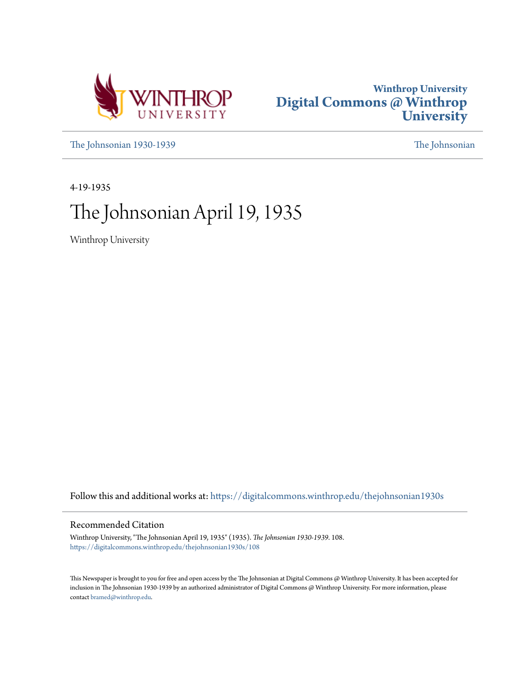



[The Johnsonian 1930-1939](https://digitalcommons.winthrop.edu/thejohnsonian1930s?utm_source=digitalcommons.winthrop.edu%2Fthejohnsonian1930s%2F108&utm_medium=PDF&utm_campaign=PDFCoverPages) [The Johnsonian](https://digitalcommons.winthrop.edu/thejohnsonian_newspaper?utm_source=digitalcommons.winthrop.edu%2Fthejohnsonian1930s%2F108&utm_medium=PDF&utm_campaign=PDFCoverPages)

4-19-1935

# The Johnsonian April 19, 1935

Winthrop University

Follow this and additional works at: [https://digitalcommons.winthrop.edu/thejohnsonian1930s](https://digitalcommons.winthrop.edu/thejohnsonian1930s?utm_source=digitalcommons.winthrop.edu%2Fthejohnsonian1930s%2F108&utm_medium=PDF&utm_campaign=PDFCoverPages)

## Recommended Citation

Winthrop University, "The Johnsonian April 19, 1935" (1935). *The Johnsonian 1930-1939*. 108. [https://digitalcommons.winthrop.edu/thejohnsonian1930s/108](https://digitalcommons.winthrop.edu/thejohnsonian1930s/108?utm_source=digitalcommons.winthrop.edu%2Fthejohnsonian1930s%2F108&utm_medium=PDF&utm_campaign=PDFCoverPages)

This Newspaper is brought to you for free and open access by the The Johnsonian at Digital Commons @ Winthrop University. It has been accepted for inclusion in The Johnsonian 1930-1939 by an authorized administrator of Digital Commons @ Winthrop University. For more information, please contact [bramed@winthrop.edu](mailto:bramed@winthrop.edu).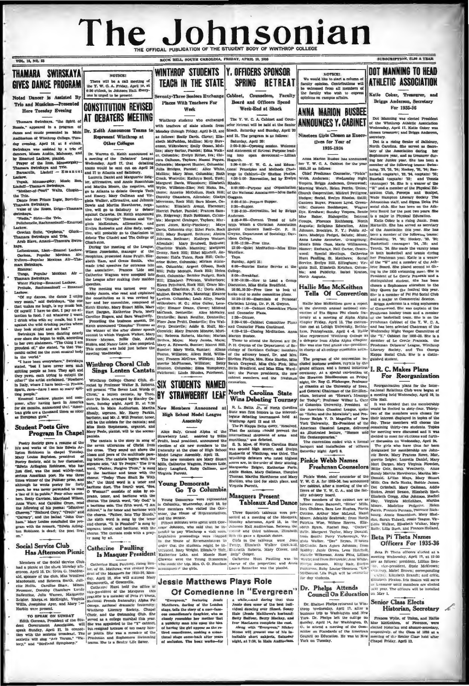## The Johnsonian **FICIAL PUBLICATION OF** K HILL, SOUTH CAROLINA, FRIDAY, APRIL 10 1918

SPRING RETREAT **GIVES DANCE PROGRAM** venty-Three Seniors Exchange Cabinet, Counselors, Faculty Noted Dancer is Assisted By Places With Teachers For Board and Officers Spend Trio and Musician-Prese **CONSTITUTION REVISED** Here Tuesday Evening Week-End at Shack Week **ANNA MARION BUSBEE** AT DEBATERS MEETING The V W C A Cabinet and Con-Swinshave, "the Swirth at Winthrop students who exch ANNOUNCES Y, CABINET selor Hetreat will be held at the Se 1793-130-Operacy antics, Wides of the Govern as Every closes and the method, the same of the same of a state of the same of a state of the same of a state of the same of the same of the same of the same of the same of the manara www.end in a program of<br>see and music presented in Main<br>diterium of Winthrop College. Tueswith teachers of state schools from<br>Monday through Friday, April 8-13, an Dr. Keith Announces Teams Shack, Saturday and Sunday, April 20 hosen tree and 21. The progr steen Cirls Choose on Ex-Represent Winthrop at as follows: Emily Davis. Clover; Elizabeth McFadden, Mullins; Mery Stev **Represent Wintern as Station (Minimum Distance)**<br> **Colleges** associates and agreement and agreement and agreement and a stationary and a stationary and a stationary and a stationary and a stationary and a stationary and seng, april 16, at 8 o'clock.<br>The was assisted by a trio of Misses Austin, Mahouty, and<br>tuel Lackow, planist.<br>The Colomy, planist.<br>The Tom, Moussongaky-<br>Invirsings and Trio.<br>Olle, Lisdoff — Emanuel she Anell 18, at 8 o'clocl Other Colleges enson, Wilkesbox nson, Wilkesbaro; Emily Gosset, Mul-<br>13; Mary Sartar, Pacolet; Edna Walkpky; -Thamara Swirskaya  $Tri$ ice from Priz Pra...<br>skaya.<br>Roses, Dris Valse of the R rirskaya.<br>"Nadia," Sirin -the Tric **Ballahanelle, Racht** ekow. ackow.<br>Grecian Suite, "Orpheus,"<br>Thamara Swirskaya and Trio Arab Slave, Ama estraum, Liszt-Emanel Le Talh Carloca, Popular Mexican  $\overline{\mathbf{A}}$ ara Butrakaya. Encore.<br>Tamana Swirskaya.<br>Ihamana Swirskaya.<br>Water Fisying—Emanuel Lacko<br>www.lude, Rachmaninoff — En Popular Mexican Atr "Of my dances, the dance I enjo " said Sudrakaya, "the or ery much," said Gwirskays, "the one<br>hat makes me laugh, is my music box als I have no dist. I pay no at

Of myself I have 50 ones a straight I want, in the following means of the straight but it and it is a straight on the layer the burst of the straight on the layer of the straight in the straight in the straight in the str

VOL. 12, NO. 22

in the world."<br>
"I have been everywhere," Swirskaya<br>
stated, "but I have never seen such any<br>
spitting prople as here. They spit and<br>
her; yawn. each trying to outspit the<br>
other; "i ha axid exclained. "Nowhere, no<br>
in li ting people

ting people."<br>Emmuti Lackow, planist and com-<br>poser, after having been in America<br>for six months, announced that, "American<br>loan girls are a thousand times as nicer

#### **Student Poets Give** Program In Chapel

Bociety gave a resume of the Postry Bootsty Steve a resume on the light postry in the light model<br>into and works of the lake Edwin Arbitraly. Margin Tucklay, and in the refluction<br> $M_{\rm HI}=10^{10}$  Margin Columbia and the light positive positive and the exits of the late Edwin Ar with the remark, "Edward"<br>Robinson is dead; the

#### cial Service Club Has Afternoon Picnic

ers of the Bocial Service Club



ny A. Edwards, Sumter; Matrel Hill, mier; Matrel Hill, Sumter; Altene<br>nree, Williston; Alben Reid, William;<br>1; Frances McCraw, Williston; Matrel<br>1; Frances McCraw, Williston; Betty<br>rrite McPherson, Williston; Betty<br>nnton,  $m: \mathcal{P}$ 

#### **Winthrop Choral Club** Sings Lenten Cantata

Vintings College Charal Club. di-<br>
vertical typ Professor Walter B. Roberts, S. W. STUDENTS NAMED<br>
vertical typ Professor Law Wombs of STRAWBERRY LEAF<br>
of the stress and Maritan College College College College College Coll

will be the solidits for the cantata; and<br>Miss Ruth Stephenson, organist, and<br>Mary Peele, planist, will be the accom-

Miss Rubs are the canonic and the model is and Assembly and the same of the same of the same of the same of the same of the same of the same of the same of the same of the same of the same of the same of the same of the s White," is for tensor and Saturdove with form, the Road and the state and the state and the state of the state and the state of the state and the state and the state of the state and the state and the state of the state a

# Catherine Paulling

Members of the social device Glub (Calterine Hunt Pauling, rising Sen. Convenience to the signal device of the shapes of the strongended of the phase of the strongender of the strongender of the strongender of the stronge

## North Carolina State

## **Masquers Present**

ee Spanish tableaux were pre-

#### **Jessie Matthews Plays Role** Of Comedienne In "Evergreen"

"Everyteen," featuring Jensie Matthews, darling of the London<br>stage, tells the story of a nuce-fam-<br>ous consentionaris darged for the store ous consentions<br>closely resembles her mether that<br>a publicity man hild spoor the i closery same hide upon the read<br>of baving the girl appear as the re-<br>of baving the girl appear as the re-<br>tienal stage come-back after years<br>tienal stage come-back after-for

Assembly



interval of the convention in the search of the convention in the convention in the free convention of the convention of the convention of the convention of the convention of the convention of the convention of the conven

Pinkle Webb, chief counselor of the  $Y$ . W. C. A. for 1935-26, has announced her cabinet, after a meeting of the of-<br>Tierra of the  $Y$ . W. C. A., and the fac-

Heres of the Y. W., C., A., and the factory advertisery board.<br>
The members of the cathest are a simple controller in Solicity and the cathest frequency for Fig. 1911<br>
Free, Childers, Bara Lee Hughes, Portland, Heres, E. Nancile Wil<mark>kerson, Anna Pitts, Lilli</mark><br>Wertz; and from Breazeale; Ann Whil ertz; and from Breazeale; Ann White<br>"En Johnson, - Kitty Hair, Evelyn<br>terson, Ruby Louise Heustess, "Lib"<br>Donald, " <sup>11</sup>-McDonald, Lila Pugh will be counsely or day stu

#### Dr. r. Phelps Attends<br>Council On Education

Dr. Shelton Phelps returned to Windows Press (1976)<br>The Shelton Phelps returned to Windows business trip to Washurston and New<br>Shustens trip to Washurston and New York. Dr. Phelps Istit the college ou<br>Sunday, April 14, for

#### SUBSCRIPTION, SL00 A YEAR

#### **DOT MANNING TO HEAD ATHLETIC ASSOCIATION**

Katie Coker, Treasurer, an Briggs Anderson, Secretary For 1995.36

Dot Manning was elected Pres of the Winthrop Athletic Association<br>Wednesday, April 17. Katie Coker was urer: and Briggs And

Mart Dargan, Mary Virginia Plowder, Mart Dargan, Mary Virginia Plowder, Bundy Martha Hawkhorpe, Martha Marchart<br>Mills, Gra Belle Rucks, Bobbie James.<br>Mills, Gra Belle Rucks, Bobbie James.<br>Dot Grimball, Mary Galkman, Addie<br>Glokes, Jeniel Beason, Elizabeth Etam.<br>Elizabeth Oregg, Alice Johnson, R Stocks, Jemiel Besaton, Elizabeth Kamn, Stach<br>Schuler, Machine Galachen, Machine History, Urginia Meticalitare, Martha<br>Moore, Machine Hefchitler, Martha<br>Moore, Machine Pedgette, Helen<br>Moore, Machine Pedgette, Helen<br>Sourg,

#### Beta Pi Theta Names Officers For 1935-36

Beta Pi Theta offerers elected at a needing Wednesday, April 17, at 12:30<br>needing Wednesday, April 17, at 12:30<br>ne. a follows: president, Lillian Ben-<br>needed and the president, State Mekforows:<br>receivery, Materi Brown; cor at Leasurer until members are elected<br>aexi year. The officers will be installed<br>on May 1.

#### **Senior Class Elects** Historian, Secretary

Prances Wylie, of Union, and Hallie Mac Merchiten, of Pierence, were elected binterian and alumni-accretary, respectively. of the Glass of 1935 at a meeting of the Schur Class held after Chapel Priday, April 12, nion, second Were<br>
Rorence, were<br>
alumni-accretary,<br>
iam of 1935 at a

# Wins Debating Tourney<br>
R. L. Batt. Jr., and North Granital State won first the interest<br>
State won first honors in the interest-<br>
letterist debute powering and at the interest-<br>
The Pi Kappa Delta query, "Resolved.<br>
The P

Sheldon, who tied for ninth place, and<br>Virginia Parrott,

**Tableaux And Dance** 

In the West Party and diring that these states are the best indicated values of the best indicated values (the best indicated values) (Table (Jessie Radio), and the case of the case of the case of the case of the case of t

**Wins Debating Tourney**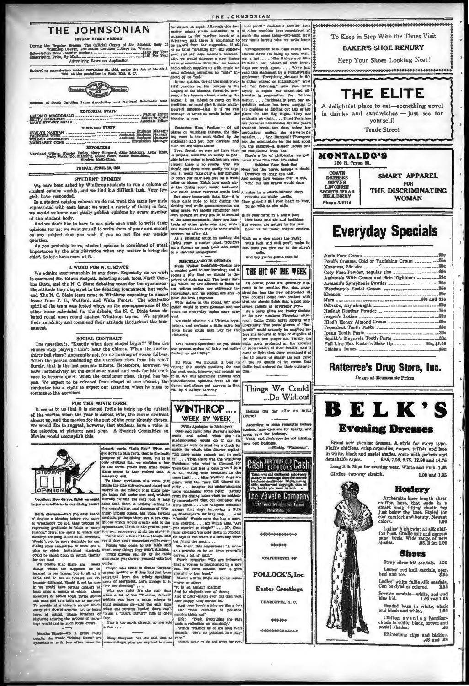THE JOHNSONIAN **SCOTTON PUERY FRIDAY** 

The Official Organ of cunen<br>.01.00 Per Year<br>.01.30 Per Year m Price (regular)<br>vo Price, By Mail 

ered as second-class matter November 21, 1922, under the Act of March 3



intion and No of South Carolina Press Ass

| <b>KDIIOKIAL BIATE</b> |                                     |
|------------------------|-------------------------------------|
|                        | Editor-in-Chief<br>Associate Editor |
| <b>BUSINESS STAFF</b>  |                                     |

| Assistant Business Manager<br>EVALYN HANNAH<br>PATRICIA WISE<br>WILSON JOSSELSON<br>MARGARET CONE |  |
|---------------------------------------------------------------------------------------------------|--|
|                                                                                                   |  |

inley, Mary Burgard, Alice McNairy, Andraine, Louise Howe, Annie Rosenblum, Wilson, Harriet Fi<br>Pinky Webb, Dot M

FRIDAY, APRIL 19, 1938

#### **STUDENT OPINION**

We have been asked by Winthrop students to run a column of<br>student opinion weekly, and we find it a difficult task. Very few girls have responded.

ent opinion column we do not want the same few girls In a stu The content symbol counter we use the same the same tew given<br>the end is selected with each issue; we want a variety of them; in fact,<br>we would welcome and gladly publish opinions by every member<br>of the student body.

or the solution over.<br>And we do not all the solutions of the solutions for us; we want you all to write them of your own accord<br>on any subject that you wish if you do not like our weekly<br>on any subject that you wish if you

As you probably know, student opinion is considered of great importance by the administration when any matter is helng decided. So let's have more of it.

#### A WORD FOR N. C. STATE

We admire sportsmanship in any form. Especially do we wish<br>commend Mr. Edwin Padgett, debating coach from North Caroto commence and the N.C. State debating team for the sportsman-<br>like attitude they displayed in the debating tournament last weekthat The N. C. State team came to Winthrop expecting to debate<br>teams from P. C., Wofford, and Wake Forest. The admirable spirit of the team was tested when, on the non-appearance of the other teams scheduled for the debate, the N. C. State team debated round upon round against Winthrop teams. We applaud miability and commend their attitude throughout the tourtheir a

#### SOCIAL CONTRACT

SOCIAL CONTRACT The question is, "Exactly when the Text West's Question: Do you this<br>himes stop playing? Can't hear the chimes. When the twelve- ear present system of lights out set<br>interest bell rines? Amarently not. for chimes stop playing: Can't near the chimes. when the twelve-<br>thirty bell rings? Apparently not, for no hushing of voices follows.<br>When the person conducting the exercises rises from his seat?<br>Surely, that is the last possi Survey, that is the last possible minute. Heretofore, however, we leave to the utomages that weeks question; the one one one of the conductor stand and wait for his audi- for the state and the one one one one one of the c

#### FOR THE MOVIE GOER

It seems to us that it is almost futile to bring up the subject of the movies when the year is almost over, the movie contract The most to us that it is almost fourier that is a most fourier in the same of the most support on the same of the same of the same of the same of the same of the same of the same of the same of the same of the same of th of almost up, and the movies for the reat of the year siready chosen.<br>We would like to suggest, however, that students have a voice in<br>the selection of pictures next year. A Student Committee on



**Marthe Words-To a great many**<br>people, the words "Dining Room" are<br>sononimous with two other more to-

Mary Bargard-We are told that at pery."

ugh this for-

THE JOHNSONIAN

ude we are when tharm the most are monumation for the bumput-<br>a phase though we may not have time omphalant from her.<br>by prepare ourselves as neatly as pos-<br>if it are sense to be an able of philosophy interesting to break<br>  $\sim$  resonance and the state of the state of the filling of the filling of the state of the state of the state of the state of the state of the state of the state of the state of the state of the state of the state of the

even though we may not be interested<br>in the amouncements, there are hundred of other girls who are; and<br>who knows?—there may be some witch<br>who knows?—there may be some witch<br>concern us after all.<br>As a finishing touch in m

#### MISCELLANEOUS OPINION

**MISCELLANEOUS OPINION**<br>Linke Walker Cockinden-Endies are a decided asset to our hearning; and it seems a plug that we ahould be dependent provided with the violation of linear to linke the collume relation are allowed to

ral.<br>We could observe our Victroia regu<br>ations, and perhaps a little extra fe<br>rom home could help pay for th

Ed Note: We thought it b

**WINTHROP...** 

WEEK BY WEEK

sonal pr

for dimer at algist. Although the for- sonal profil." declares a novelist, Loti mility might prove somewheat of a of other novelists have complained of unitary print, there is a gradied for the right, there is a gradied p

losophy we gar

Stick your neck in a lion's jaw;<br>He's tame and old and tookhiess;<br>But women are nature in the raw,<br>Look out for them; they're ruth!

Walk on a wire across the Falls;<br>With lack and skill you'll mail<br>But once you give ear to the s  $-1$ 

calla,<br>And boy you're gonna take it!

THE HIT OF THE WEEK Of course, poets are generally supd to be peculiar. By strocities has the new editor-a The Journal come into contact with that she should think that a nort con-

That she should think thus a party<br>and a party given the Fostry<br>b. At a party given the Fostry<br>b. Its new members Thurada,<br>noon, Callie Crum fairly glow beverage? Foxwith I, Callie Grum intro and of "fize-<br>hitality. The poets' glasses of "fize-<br>hit could scarcely be emptied be-<br>ahe brought in huge re-supplies of punch" could scarcely be muptle<br>for each towards in huge re-supple (or eream and ginger ale. Finally<br>leight posts postented on the growing<br>of preservation of their health; t<br>came to light that there remains<br>the 1 quants of  $\overline{\phantom{a}}$  $u$  the ented on the ground<br>of their health; and<br>i ginger als and t and it  $d$  6 of  $rac{1}{2}$ 



Quizzes the day after an Artist

According to some romantic college green even for jealous Yeah! and black eyes for not minding

our own busine -Florida "Pla



1330 West Montgomery Avenue ia - Po

000000

**COMPLIMENTS OF** 

POLLOCK'S, Inc.

**Easter Greetings** 

CHARLOTTE, N. C.

444444 -0000000000000 To Keep in Step With the Times Visit

**BAKER'S SHOE RENURY** 

Keep Your Shoes Looking Neat!



A delightful place to eat-something novel in drinks and sandwiches - just see for yourself!

**Trade Street** 

**MONTALDO'S** 220 N. Tryon St **COATS** SMART APPAREL **GOWNS<br>LINGERIE<br>SPORTS WEAR<br>MILLINERY** FOR THE DISCRIMINATING **WOMAN** Ph<sub>c</sub> ne 3-2114

# **Everyday Specials**

| Pond's Creams, Cold or Vanishing Cream 25e                |  |
|-----------------------------------------------------------|--|
| Noxezma, 25c size _____________________________15e        |  |
|                                                           |  |
| Ambrosia With Cream and Skin Tightener __________59e      |  |
|                                                           |  |
|                                                           |  |
|                                                           |  |
|                                                           |  |
|                                                           |  |
|                                                           |  |
|                                                           |  |
|                                                           |  |
|                                                           |  |
|                                                           |  |
|                                                           |  |
| Full Line Max Factor's Make Up _______________50e, \$1.00 |  |
|                                                           |  |

## **Ratterree's Drug Store, Inc.**

Drugs at Reasonable Prices



Brand new evening dresses. A style for every type. Plutfy chiffons, crisp organdies, crepes, toffets and lace<br>in white, black and pastel shades, some with jackets and detachable capcs.<br>5.95, 7.95, 9.75, 12.50 and 14.75

Long Silk Slips for evening wear. White and Pink. 1.95 Girdles, two-way stretch. 1.00 and 1.95

#### **Hosiery**



Ladies' high twist all silk chif-<br>fon hose. Cradle sole and narrow<br>panel heels. Wide range of new<br>shades. 55, 2 for 1.00

#### **Shoes**

Strap silver kid sandals. 4,95

Ladies' red knit sandals, open<br>heel and toe. 3.95

Ladies' white faille silk sandals.<br>Can be dyed or colored. 2.95

Service sandals white, red and<br>blue kid. 1.69 and 1.95

Beaded bags in white, black<br>and black and white, 1.00

Chiffon  $e$  v e n i n g handker-<br>chiefe in white, black, brown and<br>pastel shades. Rhinestone clips and hickles.<br>48 and .98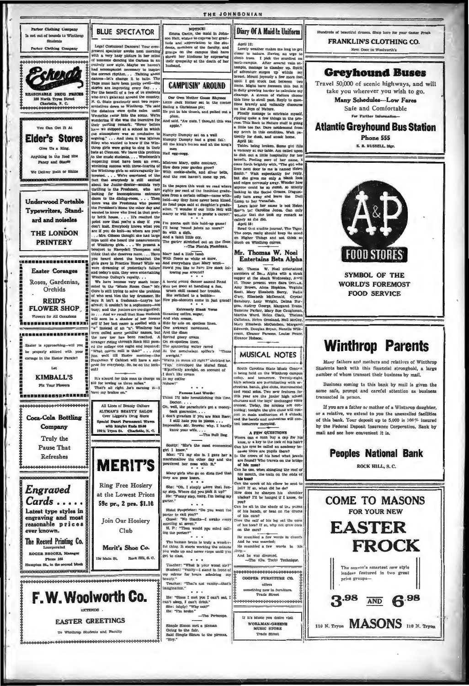

### **EASTER GREETINGS**

To Winthrop Students and Faculty

NOTICE!

NOTICE:<br>
Emma Castle, the maid in Johnson Hall, wishes to express her grati-<br>
tude and appreciation to the giu-<br>
denia, members of the faculty, and<br>
groups on the campus that have<br>
shown her kindness by expression their sympathy at the death of h hushand.

# **CAMPLISIN' AROUND**

Our Own Mother Goose Ehymes<br>Little Jack Horner sat in the corner<br>Eating a Christmas pie; Eating a Christmas pie; He could

Me put as any  $\frac{1}{2}$ <br>plum,<br>And said, "Aw nuts, I thought this

Humpty Dumpty sat on a wall<br>Humpty Dumpty had a great fall:<br>All the king's horses and all the kin

Hairess Mary, quite contrary,<br>fow does your garden grow?<br>Jith cockle-shelis, and silver<br>nd the rest haven't come up

In the papers this week we read weighty per cant of the feminine grates from a certain college--name with the lear where the and the same that a fourth with the part is the same of the same and at daughter's grates of a fo der if our little Nell narry or will have to profer a care

I'm gonna quit this hold-up game<br>I'll hang 'round joints no more!<br>Bo with a sigh,<br>And a faint little cry,

The garter stretched out on the floor .- The Plorida Flambeau.

Mary had a little hands raised With flores as white as snot<br>And everywhere that Mary a How'd you like to have live<br>bowing you around? ek fol-

A torrid young dancer named R Was too good at handing a fail when skill caused her trouble-<br>Blue switched to a bubble-<br>Now pin-shooters come in just

"Watta ya mean all right?" shricked he watta fiend,<br>"Yup," hiccopped the Murad fiend,<br>"S'perfectly awright, on account of<br>I don't like cream

us Last Words Famous Last Words:<br>Think I'll take hemstitching this tin 

sty: "She's the most eco 

Many girls who go on diets find that<br>hey are poor losers.

e e e<br>up step. Voh, I simply adure that fun-<br>uy step. Where did you pick it up?"<br>He: "Funny step, hang, I'm losing my<br>parter."  $\cdots$ 

section of the Proprietor: "Do you want the<br>porter to call you?"<br>Guest: "No thanks—I awake every<br>morning at aswen."<br>H. P.: "Then would you mind call-<br>H. P.: "Then would you mind call-<br>Hing the porter?"

The human bruin is truly a wonder-<br>ful thing. It starts working the minute<br>you wake up and never stops until you<br>ret to class.  $\sim$   $\sim$   $\sim$ 

Teacher: "What is your worst sin?"<br>Bindent: "Vanity-I stand in front of<br>by mirror for hours admiring my

eauty."<br>"Teacher: "That's not vanity—that's<br>nagination."

Me: "Since I met you I can't sat, I<br>an't akep, I can't drink."<br>She: (shyly) "Why not?"<br>He: "I'm broke."

-The Periscope. Simple Simon met a pieman<br>Going to the fair. Said Simple Shnon to the pirman,<br>"Hey."

Diary Of A Maid In Uniform

April 12:<br>Equals on April 12:<br>
April 12: the conduction of the conduction of the conduction of<br>
first time in the conduction of the conduction<br>
into trees. I pick the starting and the conduction<br>
and the starting of the conduction of the star s cause to example the calculate in<br>this time to atroll past. Reply to quest<br>this time to atroll past. Reply to quest<br>tow bravely and valiantly discours<br>in the Joys of Nature.

Finally manage to extricate myself<br>pping quite a few things in the pro-<br>ess. This Back to Nature stuff is going cess. This Back to Nature stuff is going ay perch in this co dition, Walt rat ly for dusk, and sneak home April 14:

Apru 14:<br>Tables being broken. Some girl fill<br>vacancy at our table. Am called upo: to dish out a little hospitality for her<br>benefit. Feeling sure of her name. I e forth brightly with, "The girl will <sup>25</sup> next door to me is named Helen<br>ith." Walt expectantly for reply smith." Walt expectantly for reply<br>out she gives me only a blank look and edges nervously away. Wonder how<br>anyone could be so dumb, so utterly sking in the Social Grapes, Disgust edly turn away and leave the т.

ediy turn away and leave the Dull<br>Lump to her Tunafish.<br>Learn ister her name is not Helen<br>Sm<sup>ou</sup>th but Caroline Jones. Can only<br>wo<sub>ut</sub>der that ahe dok my remark as<br>calmiy as she did. April 15:

April 19:<br>Read that erudite journal, The Tiger.<br>The corps, really should keep the mind<br>on Higher Things and not think so<br>much on Winthrop curves.

Mr. Thomas W. Noel Entertains Beta Alpha

Mr. Thomas W. Noel entertained<br>members of Be., Alpha with a steak<br>supper at the shack Wednesday, Anvil<br>17. Those present were Sara Den...k. Amy Brown, Alma Hopkins, Virginia<br>Scott, Mary Einsbeth Berry, Nadie<br>Gary, Einsbeth McDonald, Crystal Elmabeth Berry, Nadie<br>beth McDonald, Crystal ry, Lucy Wright, Del as, Audrey Ge Audrey George, Margaret Evans,<br>ine Parker, Mary Sue Caughman, Suzanne Paraer, Mary Sue Caughman<br>Martha Ward, Helen Clark, Thelms<br>Callahan, Helen Orosland, Noll McCoy<br>Mary Elizabeth McCutchen, Margare is. Doug a Bryan, Na elle Wilkrson, Eleanor Parso ns Taules Pear r Hobson



South Carolina State Music Cont. outh Carolina State Music Context<br>state Context and terms of the Minkhovy current state is a context<br>value of the Minkhovy current and the state of the state of<br>the state of the state of the state of the state of the stat

A FEW QUESTIONS<br>
Narre can a man buy a cap for his<br>
kine, or a key to be lock of his hair?<br>
kine, or a key to be called an academy be-<br>
cause there are pupli libere?<br>
cause there are pupli libere?<br>
are found? Who travels are found?<br>of his nor on he use, when shingling the roof of<br>his mouth, the nails on the ends of his mout<br>his toon? his tone rook of his elbow be sent to<br>jail? If so, what did he do?<br>Jour does he sharpen his shoulder<br>blades? I'll be hanged if I know, do you? your<br>of his mit in the shede of the pum<br>of his hands, or beat on the drum<br>of his ears?<br>Does the calf of his beg eat the cor of his toes? If so, why not grow corn on the ears? He mumbled a few words in churc  $He$  m mbled a few words in his And he was divorced.<br>--The (Ou, Tech) Technique. 666666666666 COOPER FURNITURE CO. offers **Schlag new in furniture**<br>Trade Street ,,,,,,,,,,,,,,,,,,,,,,,,,

If it's Music you dosire visit WORLMAN-GREENE **MUSIC STORE** Trade Street

leads of heautiful dresses filters here for your Jaster T **FRANKLIN'S CLOTHING CO.** 

Next Door to Woolworth's

#### **Greyhound Buses**

Travel 50,000 of scenic highways, and will take you wherever you wish to go.

> Many Schedules-Low Fares Safe and Comfortable Far Further Information

#### **Atlantic Greyhound Bus Station**

Phone 555 E. B. RUSSELL, Mgr.



**SYMBOL OF THE WORLD'S FOREMOST FOOD SERVICE** 

## **Winthrop Parents**

Many fathers and mothers and relatives of Winthrop Students bank with this financial stronghold, a large number of whom transact their business by mail.

Business coming to this bank by mail is given the same safe, prompt and careful attention as business transacted in person.

If you are a father or mother of a Winthrop daughter, or a relative, we extend to you the unexcelled facilities of this bank. Your deposit up to 5,000 is 100% insured hy the Federal Deposit Insurance Corporation. Bank by mali and see how convenient it is.

> **Peoples National Bank** ROCK HILL, S. C.



THE JOHNSONIAN